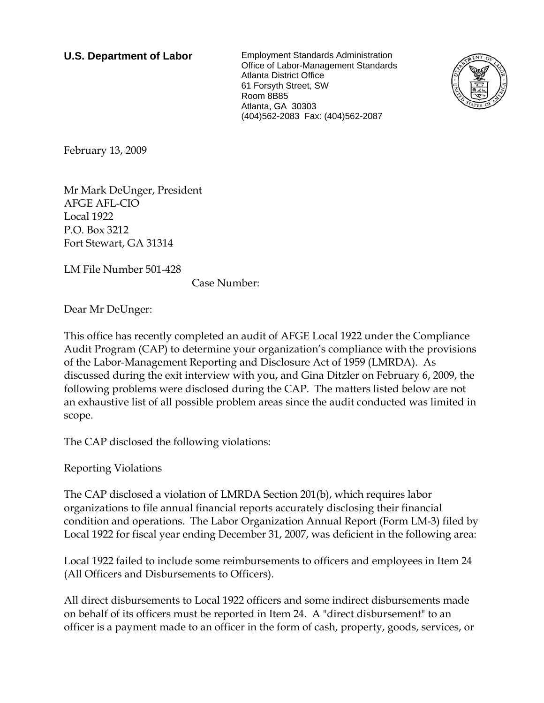**U.S. Department of Labor** Employment Standards Administration Office of Labor-Management Standards Atlanta District Office 61 Forsyth Street, SW Room 8B85 Atlanta, GA 30303 (404)562-2083 Fax: (404)562-2087



February 13, 2009

Mr Mark DeUnger, President AFGE AFL-CIO Local 1922 P.O. Box 3212 Fort Stewart, GA 31314

LM File Number 501-428

Case Number:

Dear Mr DeUnger:

This office has recently completed an audit of AFGE Local 1922 under the Compliance Audit Program (CAP) to determine your organization's compliance with the provisions of the Labor-Management Reporting and Disclosure Act of 1959 (LMRDA). As discussed during the exit interview with you, and Gina Ditzler on February 6, 2009, the following problems were disclosed during the CAP. The matters listed below are not an exhaustive list of all possible problem areas since the audit conducted was limited in scope.

The CAP disclosed the following violations:

Reporting Violations

The CAP disclosed a violation of LMRDA Section 201(b), which requires labor organizations to file annual financial reports accurately disclosing their financial condition and operations. The Labor Organization Annual Report (Form LM-3) filed by Local 1922 for fiscal year ending December 31, 2007, was deficient in the following area:

Local 1922 failed to include some reimbursements to officers and employees in Item 24 (All Officers and Disbursements to Officers).

All direct disbursements to Local 1922 officers and some indirect disbursements made on behalf of its officers must be reported in Item 24. A "direct disbursement" to an officer is a payment made to an officer in the form of cash, property, goods, services, or